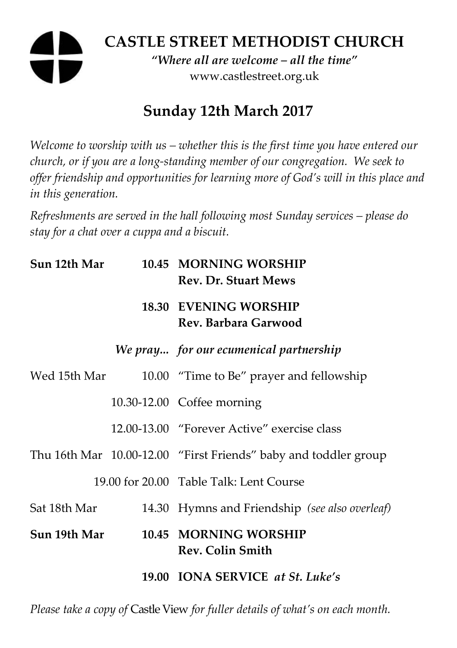# **CASTLE STREET METHODIST CHURCH**

*"Where all are welcome – all the time"*  www.castlestreet.org.uk

## **Sunday 12th March 2017**

*Welcome to worship with us – whether this is the first time you have entered our church, or if you are a long-standing member of our congregation. We seek to offer friendship and opportunities for learning more of God's will in this place and in this generation.* 

*Refreshments are served in the hall following most Sunday services – please do stay for a chat over a cuppa and a biscuit.* 

| Sun 12th Mar | 10.45 MORNING WORSHIP<br><b>Rev. Dr. Stuart Mews</b>            |
|--------------|-----------------------------------------------------------------|
|              | <b>18.30 EVENING WORSHIP</b><br>Rev. Barbara Garwood            |
|              | We pray for our ecumenical partnership                          |
| Wed 15th Mar | 10.00 "Time to Be" prayer and fellowship                        |
|              | 10.30-12.00 Coffee morning                                      |
|              | 12.00-13.00 "Forever Active" exercise class                     |
|              | Thu 16th Mar 10.00-12.00 "First Friends" baby and toddler group |
|              | 19.00 for 20.00 Table Talk: Lent Course                         |
| Sat 18th Mar | 14.30 Hymns and Friendship (see also overleaf)                  |
| Sun 19th Mar | 10.45 MORNING WORSHIP<br><b>Rev. Colin Smith</b>                |
|              | 19.00 IONA SERVICE at St. Luke's                                |

*Please take a copy of* Castle View *for fuller details of what's on each month.*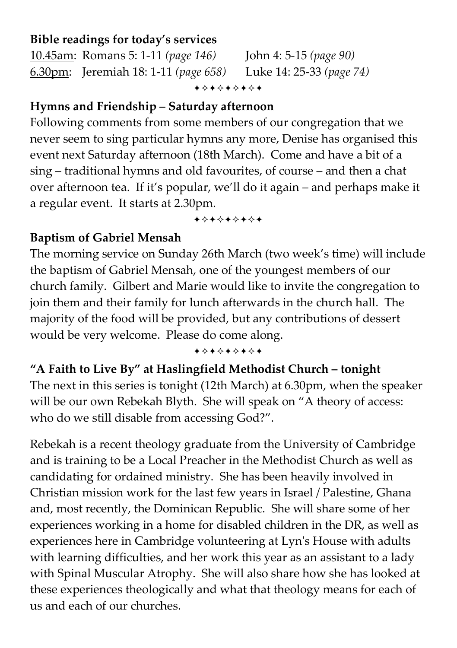### **Bible readings for today's services**

10.45am: Romans 5: 1-11 *(page 146)* John 4: 5-15 *(page 90)* 6.30pm: Jeremiah 18: 1-11 *(page 658)* Luke 14: 25-33 *(page 74)* +\*\*\*\*\*\*\*

### **Hymns and Friendship – Saturday afternoon**

Following comments from some members of our congregation that we never seem to sing particular hymns any more, Denise has organised this event next Saturday afternoon (18th March). Come and have a bit of a sing – traditional hymns and old favourites, of course – and then a chat over afternoon tea. If it's popular, we'll do it again – and perhaps make it a regular event. It starts at 2.30pm.

+\*\*\*\*\*\*\*

### **Baptism of Gabriel Mensah**

The morning service on Sunday 26th March (two week's time) will include the baptism of Gabriel Mensah, one of the youngest members of our church family. Gilbert and Marie would like to invite the congregation to join them and their family for lunch afterwards in the church hall. The majority of the food will be provided, but any contributions of dessert would be very welcome. Please do come along.

+\*\*\*\*\*\*\*

### **"A Faith to Live By" at Haslingfield Methodist Church – tonight**

The next in this series is tonight (12th March) at 6.30pm, when the speaker will be our own Rebekah Blyth. She will speak on "A theory of access: who do we still disable from accessing God?".

Rebekah is a recent theology graduate from the University of Cambridge and is training to be a Local Preacher in the Methodist Church as well as candidating for ordained ministry. She has been heavily involved in Christian mission work for the last few years in Israel / Palestine, Ghana and, most recently, the Dominican Republic. She will share some of her experiences working in a home for disabled children in the DR, as well as experiences here in Cambridge volunteering at Lyn's House with adults with learning difficulties, and her work this year as an assistant to a lady with Spinal Muscular Atrophy. She will also share how she has looked at these experiences theologically and what that theology means for each of us and each of our churches.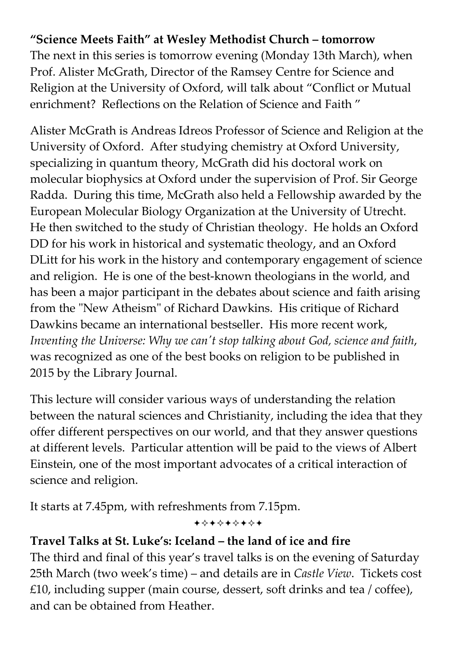### **"Science Meets Faith" at Wesley Methodist Church – tomorrow**

The next in this series is tomorrow evening (Monday 13th March), when Prof. Alister McGrath, Director of the Ramsey Centre for Science and Religion at the University of Oxford, will talk about "Conflict or Mutual enrichment? Reflections on the Relation of Science and Faith "

Alister McGrath is Andreas Idreos Professor of Science and Religion at the University of Oxford. After studying chemistry at Oxford University, specializing in quantum theory, McGrath did his doctoral work on molecular biophysics at Oxford under the supervision of Prof. Sir George Radda. During this time, McGrath also held a Fellowship awarded by the European Molecular Biology Organization at the University of Utrecht. He then switched to the study of Christian theology. He holds an Oxford DD for his work in historical and systematic theology, and an Oxford DLitt for his work in the history and contemporary engagement of science and religion. He is one of the best-known theologians in the world, and has been a major participant in the debates about science and faith arising from the "New Atheism" of Richard Dawkins. His critique of Richard Dawkins became an international bestseller. His more recent work, *Inventing the Universe: Why we can't stop talking about God, science and faith*, was recognized as one of the best books on religion to be published in 2015 by the Library Journal.

This lecture will consider various ways of understanding the relation between the natural sciences and Christianity, including the idea that they offer different perspectives on our world, and that they answer questions at different levels. Particular attention will be paid to the views of Albert Einstein, one of the most important advocates of a critical interaction of science and religion.

It starts at 7.45pm, with refreshments from 7.15pm.

#### +\*+\*+\*+\*+

### **Travel Talks at St. Luke's: Iceland – the land of ice and fire**

The third and final of this year's travel talks is on the evening of Saturday 25th March (two week's time) – and details are in *Castle View*. Tickets cost £10, including supper (main course, dessert, soft drinks and tea / coffee), and can be obtained from Heather.